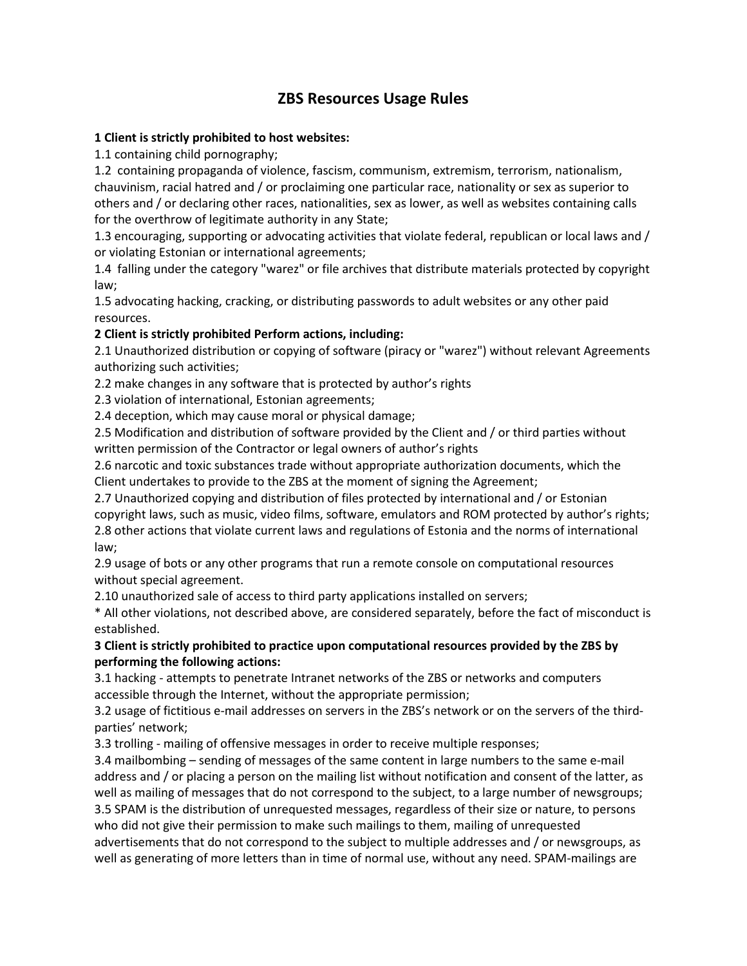## **ZBS Resources Usage Rules**

## **1 Client is strictly prohibited to host websites:**

1.1 containing child pornography;

1.2 containing propaganda of violence, fascism, communism, extremism, terrorism, nationalism, chauvinism, racial hatred and / or proclaiming one particular race, nationality or sex as superior to others and / or declaring other races, nationalities, sex as lower, as well as websites containing calls for the overthrow of legitimate authority in any State;

1.3 encouraging, supporting or advocating activities that violate federal, republican or local laws and / or violating Estonian or international agreements;

1.4 falling under the category "warez" or file archives that distribute materials protected by copyright law;

1.5 advocating hacking, cracking, or distributing passwords to adult websites or any other paid resources.

## **2 Client is strictly prohibited Perform actions, including:**

2.1 Unauthorized distribution or copying of software (piracy or "warez") without relevant Agreements authorizing such activities;

2.2 make changes in any software that is protected by author's rights

2.3 violation of international, Estonian agreements;

2.4 deception, which may cause moral or physical damage;

2.5 Modification and distribution of software provided by the Client and / or third parties without written permission of the Contractor or legal owners of author's rights

2.6 narcotic and toxic substances trade without appropriate authorization documents, which the Client undertakes to provide to the ZBS at the moment of signing the Agreement;

2.7 Unauthorized copying and distribution of files protected by international and / or Estonian copyright laws, such as music, video films, software, emulators and ROM protected by author's rights; 2.8 other actions that violate current laws and regulations of Estonia and the norms of international law;

2.9 usage of bots or any other programs that run a remote console on computational resources without special agreement.

2.10 unauthorized sale of access to third party applications installed on servers;

\* All other violations, not described above, are considered separately, before the fact of misconduct is established.

## **3 Client is strictly prohibited to practice upon computational resources provided by the ZBS by performing the following actions:**

3.1 hacking - attempts to penetrate Intranet networks of the ZBS or networks and computers accessible through the Internet, without the appropriate permission;

3.2 usage of fictitious e-mail addresses on servers in the ZBS's network or on the servers of the thirdparties' network;

3.3 trolling - mailing of offensive messages in order to receive multiple responses;

3.4 mailbombing – sending of messages of the same content in large numbers to the same e-mail address and / or placing a person on the mailing list without notification and consent of the latter, as well as mailing of messages that do not correspond to the subject, to a large number of newsgroups; 3.5 SPAM is the distribution of unrequested messages, regardless of their size or nature, to persons who did not give their permission to make such mailings to them, mailing of unrequested advertisements that do not correspond to the subject to multiple addresses and / or newsgroups, as well as generating of more letters than in time of normal use, without any need. SPAM-mailings are